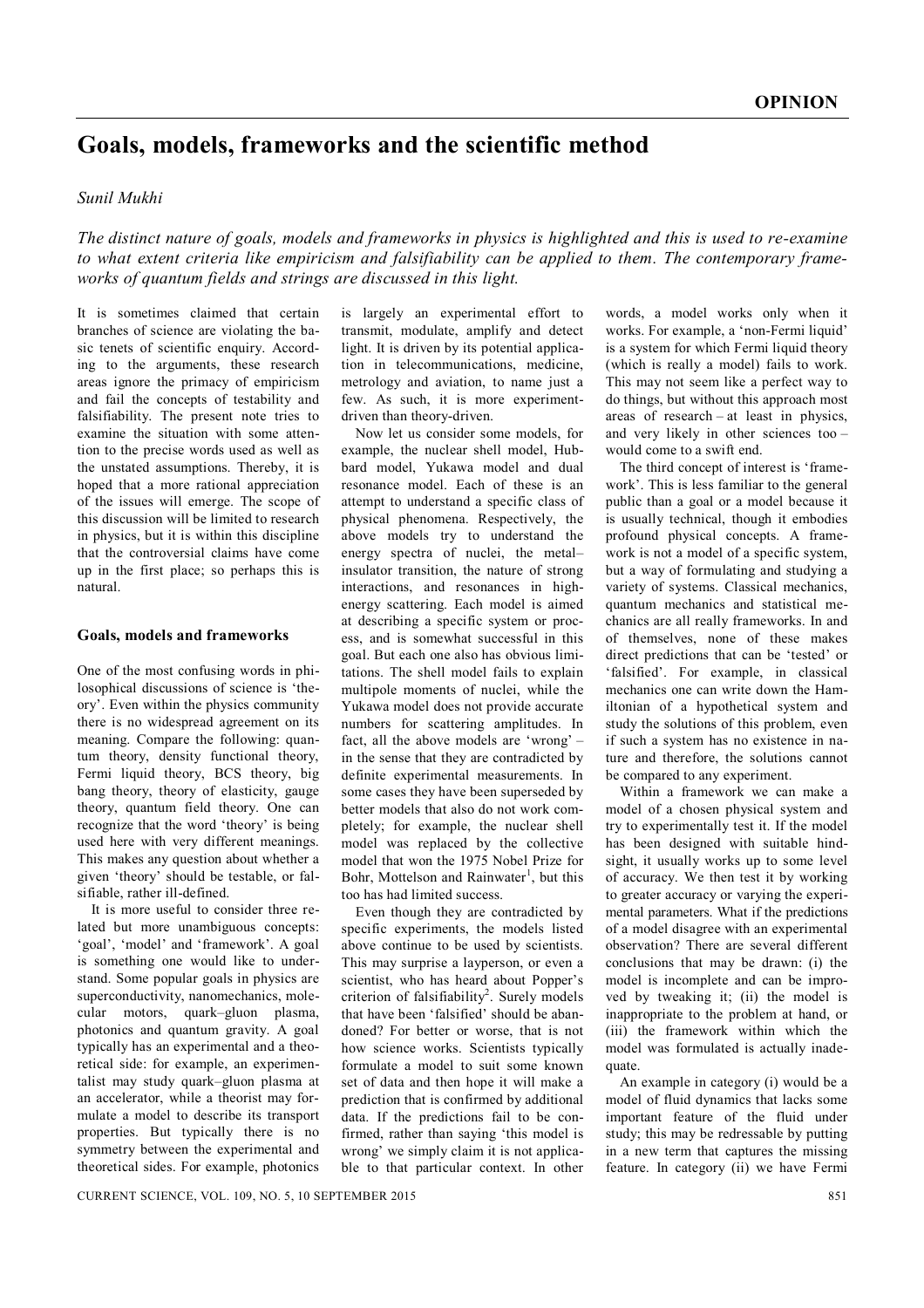# **Goals, models, frameworks and the scientific method**

## *Sunil Mukhi*

*The distinct nature of goals, models and frameworks in physics is highlighted and this is used to re-examine to what extent criteria like empiricism and falsifiability can be applied to them. The contemporary frameworks of quantum fields and strings are discussed in this light.*

It is sometimes claimed that certain branches of science are violating the basic tenets of scientific enquiry. According to the arguments, these research areas ignore the primacy of empiricism and fail the concepts of testability and falsifiability. The present note tries to examine the situation with some attention to the precise words used as well as the unstated assumptions. Thereby, it is hoped that a more rational appreciation of the issues will emerge. The scope of this discussion will be limited to research in physics, but it is within this discipline that the controversial claims have come up in the first place; so perhaps this is natural.

#### **Goals, models and frameworks**

One of the most confusing words in philosophical discussions of science is 'theory'. Even within the physics community there is no widespread agreement on its meaning. Compare the following: quantum theory, density functional theory, Fermi liquid theory, BCS theory, big bang theory, theory of elasticity, gauge theory, quantum field theory. One can recognize that the word 'theory' is being used here with very different meanings. This makes any question about whether a given 'theory' should be testable, or falsifiable, rather ill-defined.

It is more useful to consider three related but more unambiguous concepts: 'goal', 'model' and 'framework'. A goal is something one would like to understand. Some popular goals in physics are superconductivity, nanomechanics, molecular motors, quark–gluon plasma, photonics and quantum gravity. A goal typically has an experimental and a theoretical side: for example, an experimentalist may study quark–gluon plasma at an accelerator, while a theorist may formulate a model to describe its transport properties. But typically there is no symmetry between the experimental and theoretical sides. For example, photonics is largely an experimental effort to transmit, modulate, amplify and detect light. It is driven by its potential application in telecommunications, medicine, metrology and aviation, to name just a few. As such, it is more experimentdriven than theory-driven.

Now let us consider some models, for example, the nuclear shell model, Hubbard model, Yukawa model and dual resonance model. Each of these is an attempt to understand a specific class of physical phenomena. Respectively, the above models try to understand the energy spectra of nuclei, the metal– insulator transition, the nature of strong interactions, and resonances in highenergy scattering. Each model is aimed at describing a specific system or process, and is somewhat successful in this goal. But each one also has obvious limitations. The shell model fails to explain multipole moments of nuclei, while the Yukawa model does not provide accurate numbers for scattering amplitudes. In fact, all the above models are 'wrong' – in the sense that they are contradicted by definite experimental measurements. In some cases they have been superseded by better models that also do not work completely; for example, the nuclear shell model was replaced by the collective model that won the 1975 Nobel Prize for Bohr, Mottelson and Rainwater<sup>1</sup>, but this too has had limited success.

Even though they are contradicted by specific experiments, the models listed above continue to be used by scientists. This may surprise a layperson, or even a scientist, who has heard about Popper's criterion of falsifiability<sup>2</sup>. Surely models that have been 'falsified' should be abandoned? For better or worse, that is not how science works. Scientists typically formulate a model to suit some known set of data and then hope it will make a prediction that is confirmed by additional data. If the predictions fail to be confirmed, rather than saying 'this model is wrong' we simply claim it is not applicable to that particular context. In other

words, a model works only when it works. For example, a 'non-Fermi liquid' is a system for which Fermi liquid theory (which is really a model) fails to work. This may not seem like a perfect way to do things, but without this approach most areas of research – at least in physics, and very likely in other sciences too – would come to a swift end.

The third concept of interest is 'framework'. This is less familiar to the general public than a goal or a model because it is usually technical, though it embodies profound physical concepts. A framework is not a model of a specific system, but a way of formulating and studying a variety of systems. Classical mechanics, quantum mechanics and statistical mechanics are all really frameworks. In and of themselves, none of these makes direct predictions that can be 'tested' or 'falsified'. For example, in classical mechanics one can write down the Hamiltonian of a hypothetical system and study the solutions of this problem, even if such a system has no existence in nature and therefore, the solutions cannot be compared to any experiment.

Within a framework we can make a model of a chosen physical system and try to experimentally test it. If the model has been designed with suitable hindsight, it usually works up to some level of accuracy. We then test it by working to greater accuracy or varying the experimental parameters. What if the predictions of a model disagree with an experimental observation? There are several different conclusions that may be drawn: (i) the model is incomplete and can be improved by tweaking it; (ii) the model is inappropriate to the problem at hand, or (iii) the framework within which the model was formulated is actually inadequate.

An example in category (i) would be a model of fluid dynamics that lacks some important feature of the fluid under study; this may be redressable by putting in a new term that captures the missing feature. In category (ii) we have Fermi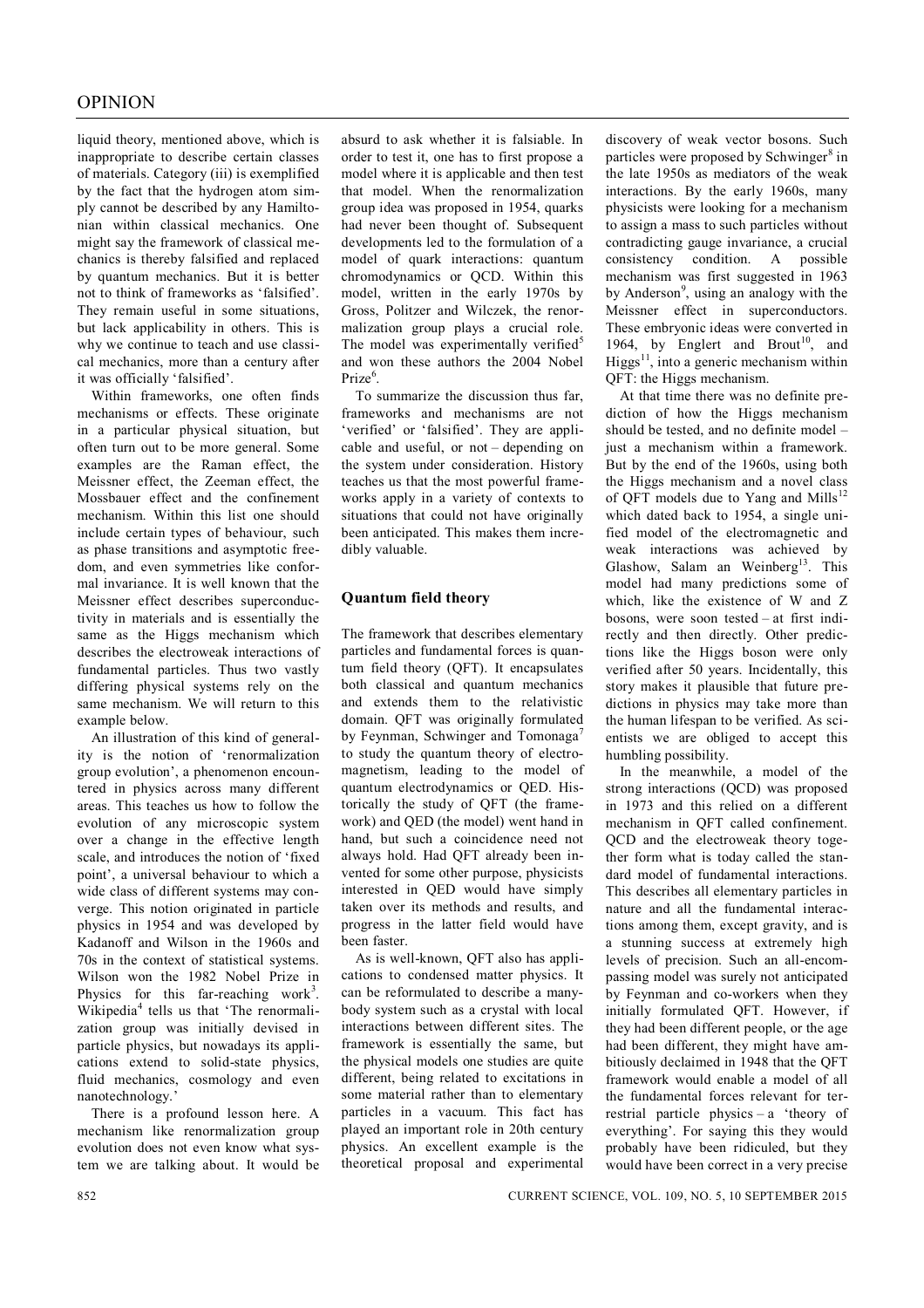liquid theory, mentioned above, which is inappropriate to describe certain classes of materials. Category (iii) is exemplified by the fact that the hydrogen atom simply cannot be described by any Hamiltonian within classical mechanics. One might say the framework of classical mechanics is thereby falsified and replaced by quantum mechanics. But it is better not to think of frameworks as 'falsified'. They remain useful in some situations, but lack applicability in others. This is why we continue to teach and use classical mechanics, more than a century after it was officially 'falsified'.

Within frameworks, one often finds mechanisms or effects. These originate in a particular physical situation, but often turn out to be more general. Some examples are the Raman effect, the Meissner effect, the Zeeman effect, the Mossbauer effect and the confinement mechanism. Within this list one should include certain types of behaviour, such as phase transitions and asymptotic freedom, and even symmetries like conformal invariance. It is well known that the Meissner effect describes superconductivity in materials and is essentially the same as the Higgs mechanism which describes the electroweak interactions of fundamental particles. Thus two vastly differing physical systems rely on the same mechanism. We will return to this example below.

An illustration of this kind of generality is the notion of 'renormalization group evolution', a phenomenon encountered in physics across many different areas. This teaches us how to follow the evolution of any microscopic system over a change in the effective length scale, and introduces the notion of 'fixed point', a universal behaviour to which a wide class of different systems may converge. This notion originated in particle physics in 1954 and was developed by Kadanoff and Wilson in the 1960s and 70s in the context of statistical systems. Wilson won the 1982 Nobel Prize in Physics for this far-reaching work<sup>3</sup>. Wikipedia<sup>4</sup> tells us that 'The renormalization group was initially devised in particle physics, but nowadays its applications extend to solid-state physics, fluid mechanics, cosmology and even nanotechnology.'

There is a profound lesson here. A mechanism like renormalization group evolution does not even know what system we are talking about. It would be

absurd to ask whether it is falsiable. In order to test it, one has to first propose a model where it is applicable and then test that model. When the renormalization group idea was proposed in 1954, quarks had never been thought of. Subsequent developments led to the formulation of a model of quark interactions: quantum chromodynamics or QCD. Within this model, written in the early 1970s by Gross, Politzer and Wilczek, the renormalization group plays a crucial role. The model was experimentally verified<sup>5</sup> and won these authors the 2004 Nobel Prize<sup>6</sup>.

To summarize the discussion thus far, frameworks and mechanisms are not 'verified' or 'falsified'. They are applicable and useful, or not – depending on the system under consideration. History teaches us that the most powerful frameworks apply in a variety of contexts to situations that could not have originally been anticipated. This makes them incredibly valuable.

## **Quantum field theory**

The framework that describes elementary particles and fundamental forces is quantum field theory (QFT). It encapsulates both classical and quantum mechanics and extends them to the relativistic domain. QFT was originally formulated by Feynman, Schwinger and Tomonaga<sup>7</sup> to study the quantum theory of electromagnetism, leading to the model of quantum electrodynamics or QED. Historically the study of QFT (the framework) and QED (the model) went hand in hand, but such a coincidence need not always hold. Had QFT already been invented for some other purpose, physicists interested in QED would have simply taken over its methods and results, and progress in the latter field would have been faster.

As is well-known, QFT also has applications to condensed matter physics. It can be reformulated to describe a manybody system such as a crystal with local interactions between different sites. The framework is essentially the same, but the physical models one studies are quite different, being related to excitations in some material rather than to elementary particles in a vacuum. This fact has played an important role in 20th century physics. An excellent example is the theoretical proposal and experimental discovery of weak vector bosons. Such particles were proposed by Schwinger<sup>8</sup> in the late 1950s as mediators of the weak interactions. By the early 1960s, many physicists were looking for a mechanism to assign a mass to such particles without contradicting gauge invariance, a crucial consistency condition. A possible mechanism was first suggested in 1963 by Anderson<sup>9</sup>, using an analogy with the Meissner effect in superconductors. These embryonic ideas were converted in 1964, by Englert and Brout<sup>10</sup>, and Higgs $^{11}$ , into a generic mechanism within QFT: the Higgs mechanism.

At that time there was no definite prediction of how the Higgs mechanism should be tested, and no definite model – just a mechanism within a framework. But by the end of the 1960s, using both the Higgs mechanism and a novel class of QFT models due to Yang and Mills<sup>12</sup> which dated back to 1954, a single unified model of the electromagnetic and weak interactions was achieved by Glashow, Salam an Weinberg<sup>13</sup>. This model had many predictions some of which, like the existence of W and Z bosons, were soon tested – at first indirectly and then directly. Other predictions like the Higgs boson were only verified after 50 years. Incidentally, this story makes it plausible that future predictions in physics may take more than the human lifespan to be verified. As scientists we are obliged to accept this humbling possibility.

In the meanwhile, a model of the strong interactions (QCD) was proposed in 1973 and this relied on a different mechanism in QFT called confinement. QCD and the electroweak theory together form what is today called the standard model of fundamental interactions. This describes all elementary particles in nature and all the fundamental interactions among them, except gravity, and is a stunning success at extremely high levels of precision. Such an all-encompassing model was surely not anticipated by Feynman and co-workers when they initially formulated QFT. However, if they had been different people, or the age had been different, they might have ambitiously declaimed in 1948 that the QFT framework would enable a model of all the fundamental forces relevant for terrestrial particle physics – a 'theory of everything'. For saying this they would probably have been ridiculed, but they would have been correct in a very precise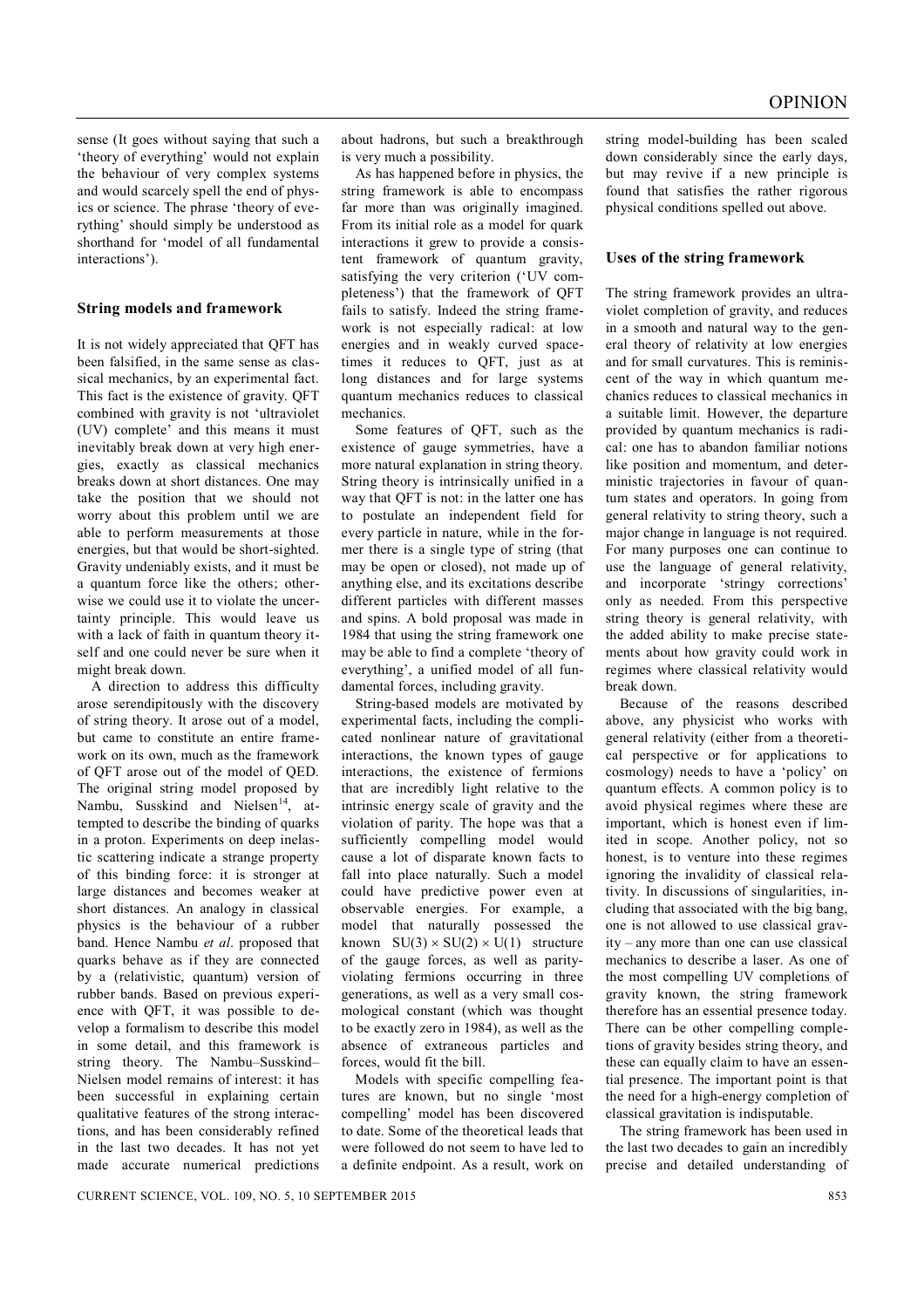sense (It goes without saying that such a 'theory of everything' would not explain the behaviour of very complex systems and would scarcely spell the end of physics or science. The phrase 'theory of everything' should simply be understood as shorthand for 'model of all fundamental interactions').

### **String models and framework**

It is not widely appreciated that QFT has been falsified, in the same sense as classical mechanics, by an experimental fact. This fact is the existence of gravity. QFT combined with gravity is not 'ultraviolet (UV) complete' and this means it must inevitably break down at very high energies, exactly as classical mechanics breaks down at short distances. One may take the position that we should not worry about this problem until we are able to perform measurements at those energies, but that would be short-sighted. Gravity undeniably exists, and it must be a quantum force like the others; otherwise we could use it to violate the uncertainty principle. This would leave us with a lack of faith in quantum theory itself and one could never be sure when it might break down.

A direction to address this difficulty arose serendipitously with the discovery of string theory. It arose out of a model, but came to constitute an entire framework on its own, much as the framework of QFT arose out of the model of QED. The original string model proposed by Nambu, Susskind and Nielsen<sup>14</sup>, attempted to describe the binding of quarks in a proton. Experiments on deep inelastic scattering indicate a strange property of this binding force: it is stronger at large distances and becomes weaker at short distances. An analogy in classical physics is the behaviour of a rubber band. Hence Nambu *et al*. proposed that quarks behave as if they are connected by a (relativistic, quantum) version of rubber bands. Based on previous experience with QFT, it was possible to develop a formalism to describe this model in some detail, and this framework is string theory. The Nambu–Susskind– Nielsen model remains of interest: it has been successful in explaining certain qualitative features of the strong interactions, and has been considerably refined in the last two decades. It has not yet made accurate numerical predictions about hadrons, but such a breakthrough is very much a possibility.

As has happened before in physics, the string framework is able to encompass far more than was originally imagined. From its initial role as a model for quark interactions it grew to provide a consistent framework of quantum gravity, satisfying the very criterion ('UV completeness') that the framework of QFT fails to satisfy. Indeed the string framework is not especially radical: at low energies and in weakly curved spacetimes it reduces to QFT, just as at long distances and for large systems quantum mechanics reduces to classical mechanics.

Some features of QFT, such as the existence of gauge symmetries, have a more natural explanation in string theory. String theory is intrinsically unified in a way that QFT is not: in the latter one has to postulate an independent field for every particle in nature, while in the former there is a single type of string (that may be open or closed), not made up of anything else, and its excitations describe different particles with different masses and spins. A bold proposal was made in 1984 that using the string framework one may be able to find a complete 'theory of everything', a unified model of all fundamental forces, including gravity.

String-based models are motivated by experimental facts, including the complicated nonlinear nature of gravitational interactions, the known types of gauge interactions, the existence of fermions that are incredibly light relative to the intrinsic energy scale of gravity and the violation of parity. The hope was that a sufficiently compelling model would cause a lot of disparate known facts to fall into place naturally. Such a model could have predictive power even at observable energies. For example, a model that naturally possessed the known  $SU(3) \times SU(2) \times U(1)$  structure of the gauge forces, as well as parityviolating fermions occurring in three generations, as well as a very small cosmological constant (which was thought to be exactly zero in 1984), as well as the absence of extraneous particles and forces, would fit the bill.

Models with specific compelling features are known, but no single 'most compelling' model has been discovered to date. Some of the theoretical leads that were followed do not seem to have led to a definite endpoint. As a result, work on string model-building has been scaled down considerably since the early days, but may revive if a new principle is found that satisfies the rather rigorous physical conditions spelled out above.

#### **Uses of the string framework**

The string framework provides an ultraviolet completion of gravity, and reduces in a smooth and natural way to the general theory of relativity at low energies and for small curvatures. This is reminiscent of the way in which quantum mechanics reduces to classical mechanics in a suitable limit. However, the departure provided by quantum mechanics is radical: one has to abandon familiar notions like position and momentum, and deterministic trajectories in favour of quantum states and operators. In going from general relativity to string theory, such a major change in language is not required. For many purposes one can continue to use the language of general relativity, and incorporate 'stringy corrections' only as needed. From this perspective string theory is general relativity, with the added ability to make precise statements about how gravity could work in regimes where classical relativity would break down.

Because of the reasons described above, any physicist who works with general relativity (either from a theoretical perspective or for applications to cosmology) needs to have a 'policy' on quantum effects. A common policy is to avoid physical regimes where these are important, which is honest even if limited in scope. Another policy, not so honest, is to venture into these regimes ignoring the invalidity of classical relativity. In discussions of singularities, including that associated with the big bang, one is not allowed to use classical gravity – any more than one can use classical mechanics to describe a laser. As one of the most compelling UV completions of gravity known, the string framework therefore has an essential presence today. There can be other compelling completions of gravity besides string theory, and these can equally claim to have an essential presence. The important point is that the need for a high-energy completion of classical gravitation is indisputable.

The string framework has been used in the last two decades to gain an incredibly precise and detailed understanding of